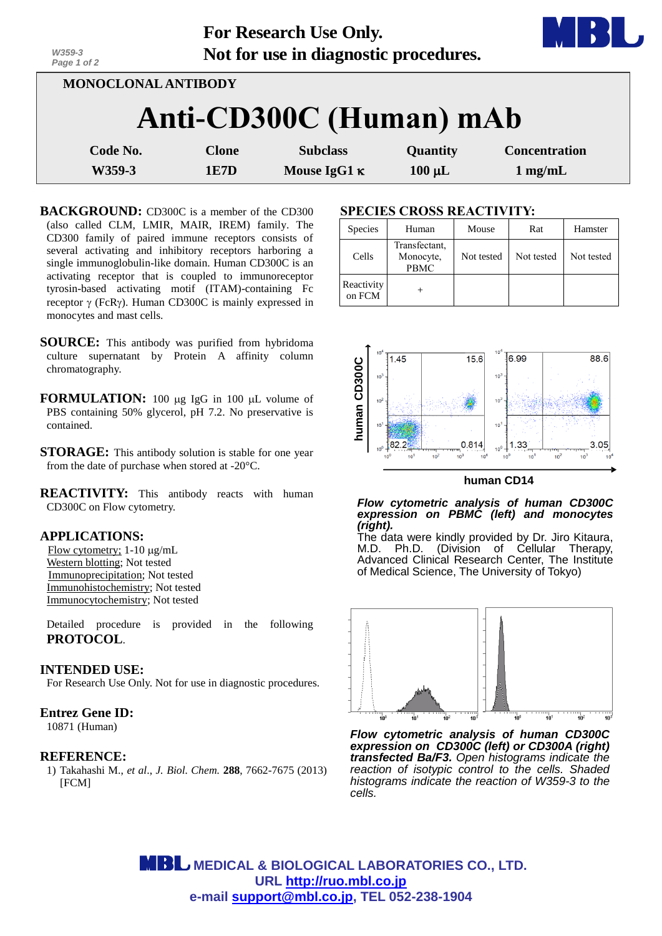| W359-3<br>Page 1 of 2      |       | For Research Use Only.<br>Not for use in diagnostic procedures. |             |                      |  |  |  |  |
|----------------------------|-------|-----------------------------------------------------------------|-------------|----------------------|--|--|--|--|
| <b>MONOCLONAL ANTIBODY</b> |       |                                                                 |             |                      |  |  |  |  |
| Anti-CD300C (Human) mAb    |       |                                                                 |             |                      |  |  |  |  |
| Code No.                   | Clone | <b>Subclass</b>                                                 | Quantity    | <b>Concentration</b> |  |  |  |  |
| W359-3                     | 1E7D  | Mouse IgG1 $\kappa$                                             | $100 \mu L$ | $1$ mg/mL            |  |  |  |  |

- **BACKGROUND:** CD300C is a member of the CD300 (also called CLM, LMIR, MAIR, IREM) family. The CD300 family of paired immune receptors consists of several activating and inhibitory receptors harboring a single immunoglobulin-like domain. Human CD300C is an activating receptor that is coupled to immunoreceptor tyrosin-based activating motif (ITAM)-containing Fc receptor  $\gamma$  (FcR $\gamma$ ). Human CD300C is mainly expressed in monocytes and mast cells.
- **SOURCE:** This antibody was purified from hybridoma culture supernatant by Protein A affinity column chromatography.
- **FORMULATION:** 100 ug IgG in 100 uL volume of PBS containing 50% glycerol, pH 7.2. No preservative is contained.
- **STORAGE:** This antibody solution is stable for one year from the date of purchase when stored at -20°C.
- **REACTIVITY:** This antibody reacts with human CD300C on Flow cytometry.

#### **APPLICATIONS:**

Flow cytometry; 1-10 μg/mL Western blotting; Not tested Immunoprecipitation; Not tested Immunohistochemistry; Not tested Immunocytochemistry; Not tested

Detailed procedure is provided in the following **PROTOCOL**.

## **INTENDED USE:**

For Research Use Only. Not for use in diagnostic procedures.

## **Entrez Gene ID:**

10871 (Human)

#### **REFERENCE:**

1) Takahashi M., *et al*., *J. Biol. Chem.* **288**, 7662-7675 (2013) [FCM]

## **SPECIES CROSS REACTIVITY:**

| Species              | Human                                     | Mouse      | Rat        | Hamster    |  |  |  |  |
|----------------------|-------------------------------------------|------------|------------|------------|--|--|--|--|
| Cells                | Transfectant,<br>Monocyte,<br><b>PBMC</b> | Not tested | Not tested | Not tested |  |  |  |  |
| Reactivity<br>on FCM |                                           |            |            |            |  |  |  |  |



#### **human CD14**

*Flow cytometric analysis of human CD300C expression on PBMC (left) and monocytes (right).*

The data were kindly provided by Dr. Jiro Kitaura, M.D. Ph.D. (Division of Cellular Therapy, Advanced Clinical Research Center, The Institute of Medical Science, The University of Tokyo)



*Flow cytometric analysis of human CD300C expression on CD300C (left) or CD300A (right) transfected Ba/F3. Open histograms indicate the reaction of isotypic control to the cells. Shaded histograms indicate the reaction of W359-3 to the cells.*

 **MEDICAL & BIOLOGICAL LABORATORIES CO., LTD. URL http://ruo.mbl.co.jp e-mail support@mbl.co.jp, TEL 052-238-1904**